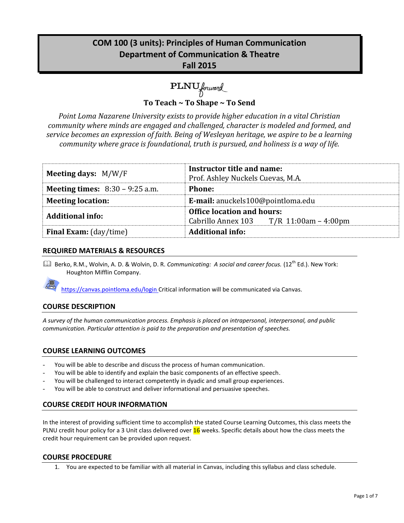# **COM 100 (3 units): Principles of Human Communication Department of Communication & Theatre Fall 2015**

PLNU forward

**To Teach ~ To Shape ~ To Send**

*Point Loma Nazarene University exists to provide higher education in a vital Christian community where minds are engaged and challenged, character is modeled and formed, and service becomes an expression of faith. Being of Wesleyan heritage, we aspire to be a learning community where grace is foundational, truth is pursued, and holiness is a way of life.*

| <b>Meeting days:</b> $M/W/F$             | Instructor title and name:<br>Prof. Ashley Nuckels Cuevas, M.A. |  |  |
|------------------------------------------|-----------------------------------------------------------------|--|--|
| <b>Meeting times:</b> $8:30 - 9:25$ a.m. | <b>Phone:</b>                                                   |  |  |
| <b>Meeting location:</b>                 | E-mail: anuckels100@pointloma.edu                               |  |  |
| <b>Additional info:</b>                  | <b>Office location and hours:</b>                               |  |  |
|                                          | Cabrillo Annex 103 $T/R$ 11:00am – 4:00pm                       |  |  |
| <b>Final Exam:</b> (day/time)            | <b>Additional info:</b>                                         |  |  |

### **REQUIRED MATERIALS & RESOURCES**

**Quart Berko, R.M., Wolvin, A. D. & Wolvin, D. R. Communicating: A social and career focus. (12<sup>th</sup> Ed.). New York:** Houghton Mifflin Company.



https://canvas.pointloma.edu/login Critical information will be communicated via Canvas.

# **COURSE DESCRIPTION**

*A survey of the human communication process. Emphasis is placed on intrapersonal, interpersonal, and public communication. Particular attention is paid to the preparation and presentation of speeches.*

# **COURSE LEARNING OUTCOMES**

- You will be able to describe and discuss the process of human communication.
- You will be able to identify and explain the basic components of an effective speech.
- You will be challenged to interact competently in dyadic and small group experiences.
- You will be able to construct and deliver informational and persuasive speeches.

### **COURSE CREDIT HOUR INFORMATION**

In the interest of providing sufficient time to accomplish the stated Course Learning Outcomes, this class meets the PLNU credit hour policy for a 3 Unit class delivered over 16 weeks. Specific details about how the class meets the credit hour requirement can be provided upon request.

#### **COURSE PROCEDURE**

1. You are expected to be familiar with all material in Canvas, including this syllabus and class schedule.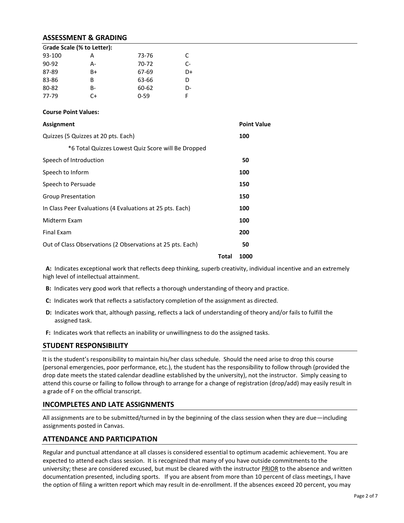### **ASSESSMENT & GRADING**

| Grade Scale (% to Letter): |    |          |      |
|----------------------------|----|----------|------|
| 93-100                     | А  | 73-76    | C.   |
| $90-92$                    | А- | 70-72    | $C-$ |
| 87-89                      | B+ | 67-69    | D+   |
| 83-86                      | B  | 63-66    | D    |
| 80-82                      | B- | 60-62    | D-   |
| 77-79                      | C+ | $0 - 59$ | E    |

#### **Course Point Values:**

| Assignment                                                 |       | <b>Point Value</b> |  |
|------------------------------------------------------------|-------|--------------------|--|
| Quizzes (5 Quizzes at 20 pts. Each)                        |       | 100                |  |
| *6 Total Quizzes Lowest Quiz Score will Be Dropped         |       |                    |  |
| Speech of Introduction                                     |       | 50                 |  |
| Speech to Inform                                           |       | 100                |  |
| Speech to Persuade                                         |       | 150                |  |
| <b>Group Presentation</b>                                  |       | 150                |  |
| In Class Peer Evaluations (4 Evaluations at 25 pts. Each)  |       | 100                |  |
| Midterm Exam                                               |       | 100                |  |
| <b>Final Exam</b>                                          |       | 200                |  |
| Out of Class Observations (2 Observations at 25 pts. Each) |       | 50                 |  |
|                                                            | Total | 1000               |  |

 **A:** Indicates exceptional work that reflects deep thinking, superb creativity, individual incentive and an extremely high level of intellectual attainment.

- **B:** Indicates very good work that reflects a thorough understanding of theory and practice.
- **C:** Indicates work that reflects a satisfactory completion of the assignment as directed.
- **D:** Indicates work that, although passing, reflects a lack of understanding of theory and/or fails to fulfill the assigned task.
- **F:** Indicates work that reflects an inability or unwillingness to do the assigned tasks.

#### **STUDENT RESPONSIBILITY**

It is the student's responsibility to maintain his/her class schedule. Should the need arise to drop this course (personal emergencies, poor performance, etc.), the student has the responsibility to follow through (provided the drop date meets the stated calendar deadline established by the university), not the instructor. Simply ceasing to attend this course or failing to follow through to arrange for a change of registration (drop/add) may easily result in a grade of F on the official transcript.

#### **INCOMPLETES AND LATE ASSIGNMENTS**

All assignments are to be submitted/turned in by the beginning of the class session when they are due—including assignments posted in Canvas.

#### **ATTENDANCE AND PARTICIPATION**

Regular and punctual attendance at all classes is considered essential to optimum academic achievement. You are expected to attend each class session. It is recognized that many of you have outside commitments to the university; these are considered excused, but must be cleared with the instructor PRIOR to the absence and written documentation presented, including sports. If you are absent from more than 10 percent of class meetings, I have the option of filing a written report which may result in de-enrollment. If the absences exceed 20 percent, you may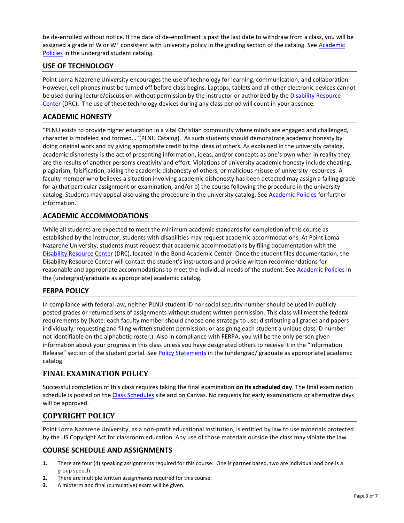be de-enrolled without notice. If the date of de-enrollment is past the last date to withdraw from a class, you will be assigned a grade of W or WF consistent with university policy in the grading section of the catalog. See [Academic](http://www.pointloma.edu/experience/academics/catalogs/undergraduate-catalog/point-loma-education/academic-policies)  [Policies](http://www.pointloma.edu/experience/academics/catalogs/undergraduate-catalog/point-loma-education/academic-policies) in the undergrad student catalog.

# **USE OF TECHNOLOGY**

Point Loma Nazarene University encourages the use of technology for learning, communication, and collaboration. However, cell phones must be turned off before class begins. Laptops, tablets and all other electronic devices cannot be used during lecture/discussion without permission by the instructor or authorized by the [Disability Resource](http://www.pointloma.edu/experience/offices/administrative-offices/academic-advising-office/disability-resource-center)  [Center](http://www.pointloma.edu/experience/offices/administrative-offices/academic-advising-office/disability-resource-center) (DRC). The use of these technology devices during any class period will count in your absence.

### **ACADEMIC HONESTY**

"PLNU exists to provide higher education in a vital Christian community where minds are engaged and challenged, character is modeled and formed…"(PLNU Catalog). As such students should demonstrate academic honesty by doing original work and by giving appropriate credit to the ideas of others. As explained in the university catalog, academic dishonesty is the act of presenting information, ideas, and/or concepts as one's own when in reality they are the results of another person's creativity and effort. Violations of university academic honesty include cheating, plagiarism, falsification, aiding the academic dishonesty of others, or malicious misuse of university resources. A faculty member who believes a situation involving academic dishonesty has been detected may assign a failing grade for a) that particular assignment or examination, and/or b) the course following the procedure in the university catalog. Students may appeal also using the procedure in the university catalog. Se[e Academic Policies](http://www.pointloma.edu/experience/academics/catalogs/undergraduate-catalog/point-loma-education/academic-policies) for further information.

# **ACADEMIC ACCOMMODATIONS**

While all students are expected to meet the minimum academic standards for completion of this course as established by the instructor, students with disabilities may request academic accommodations. At Point Loma Nazarene University, students must request that academic accommodations by filing documentation with the [Disability Resource Center](http://www.pointloma.edu/experience/offices/administrative-offices/academic-advising-office/disability-resource-center) (DRC), located in the Bond Academic Center. Once the student files documentation, the Disability Resource Center will contact the student's instructors and provide written recommendations for reasonable and appropriate accommodations to meet the individual needs of the student. See [Academic Policies](http://www.pointloma.edu/experience/academics/catalogs/undergraduate-catalog/point-loma-education/academic-policies) in the (undergrad/graduate as appropriate) academic catalog.

# **FERPA POLICY**

In compliance with federal law, neither PLNU student ID nor social security number should be used in publicly posted grades or returned sets of assignments without student written permission. This class will meet the federal requirements by (Note: each faculty member should choose one strategy to use: distributing all grades and papers individually; requesting and filing written student permission; or assigning each student a unique class ID number not identifiable on the alphabetic roster.). Also in compliance with FERPA, you will be the only person given information about your progress in this class unless you have designated others to receive it in the "Information Release" section of the student portal. See [Policy Statements](http://www.pointloma.edu/experience/academics/catalogs/undergraduate-catalog/policy-statements) in the (undergrad/ graduate as appropriate) academic catalog.

# **FINAL EXAMINATION POLICY**

Successful completion of this class requires taking the final examination **on its scheduled day**. The final examination schedule is posted on th[e Class Schedules](http://www.pointloma.edu/experience/academics/class-schedules) site and on Canvas. No requests for early examinations or alternative days will be approved.

# **COPYRIGHT POLICY**

Point Loma Nazarene University, as a non-profit educational institution, is entitled by law to use materials protected by the US Copyright Act for classroom education. Any use of those materials outside the class may violate the law.

# **COURSE SCHEDULE AND ASSIGNMENTS**

- **1.** There are four (4) speaking assignments required for this course: One is partner based, two are individual and one is a group speech.
- **2.** There are multiple written assignments required for this course.
- **3.** A midterm and final (cumulative) exam will be given.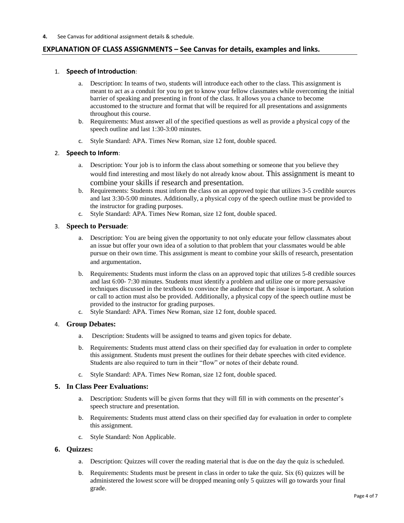**4.** See Canvas for additional assignment details & schedule.

# **EXPLANATION OF CLASS ASSIGNMENTS – See Canvas for details, examples and links.**

#### 1. **Speech of Introduction**:

- a. Description: In teams of two, students will introduce each other to the class. This assignment is meant to act as a conduit for you to get to know your fellow classmates while overcoming the initial barrier of speaking and presenting in front of the class. It allows you a chance to become accustomed to the structure and format that will be required for all presentations and assignments throughout this course.
- b. Requirements: Must answer all of the specified questions as well as provide a physical copy of the speech outline and last 1:30-3:00 minutes.
- c. Style Standard: APA. Times New Roman, size 12 font, double spaced.

#### 2. **Speech to Inform**:

- a. Description: Your job is to inform the class about something or someone that you believe they would find interesting and most likely do not already know about. This assignment is meant to combine your skills if research and presentation.
- b. Requirements: Students must inform the class on an approved topic that utilizes 3-5 credible sources and last 3:30-5:00 minutes. Additionally, a physical copy of the speech outline must be provided to the instructor for grading purposes.
- c. Style Standard: APA. Times New Roman, size 12 font, double spaced.

#### 3. **Speech to Persuade**:

- a. Description: You are being given the opportunity to not only educate your fellow classmates about an issue but offer your own idea of a solution to that problem that your classmates would be able pursue on their own time. This assignment is meant to combine your skills of research, presentation and argumentation.
- b. Requirements: Students must inform the class on an approved topic that utilizes 5-8 credible sources and last 6:00- 7:30 minutes. Students must identify a problem and utilize one or more persuasive techniques discussed in the textbook to convince the audience that the issue is important. A solution or call to action must also be provided. Additionally, a physical copy of the speech outline must be provided to the instructor for grading purposes.
- c. Style Standard: APA. Times New Roman, size 12 font, double spaced.

#### 4. **Group Debates:**

- a. Description: Students will be assigned to teams and given topics for debate.
- b. Requirements: Students must attend class on their specified day for evaluation in order to complete this assignment. Students must present the outlines for their debate speeches with cited evidence. Students are also required to turn in their "flow" or notes of their debate round.
- c. Style Standard: APA. Times New Roman, size 12 font, double spaced.

#### **5. In Class Peer Evaluations:**

- a. Description: Students will be given forms that they will fill in with comments on the presenter's speech structure and presentation.
- b. Requirements: Students must attend class on their specified day for evaluation in order to complete this assignment.
- c. Style Standard: Non Applicable.

#### **6. Quizzes:**

- a. Description: Quizzes will cover the reading material that is due on the day the quiz is scheduled.
- b. Requirements: Students must be present in class in order to take the quiz. Six (6) quizzes will be administered the lowest score will be dropped meaning only 5 quizzes will go towards your final grade.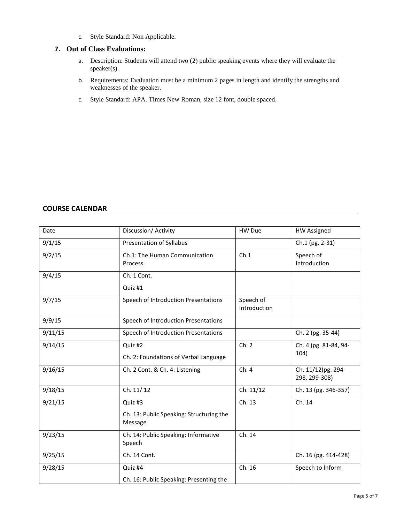c. Style Standard: Non Applicable.

#### **7. Out of Class Evaluations:**

- a. Description: Students will attend two (2) public speaking events where they will evaluate the speaker(s).
- b. Requirements: Evaluation must be a minimum 2 pages in length and identify the strengths and weaknesses of the speaker.
- c. Style Standard: APA. Times New Roman, size 12 font, double spaced.

# **COURSE CALENDAR**

| Date    | Discussion/ Activity                                | HW Due                    | <b>HW Assigned</b>                  |
|---------|-----------------------------------------------------|---------------------------|-------------------------------------|
|         |                                                     |                           |                                     |
| 9/1/15  | Presentation of Syllabus                            |                           | Ch.1 (pg. 2-31)                     |
| 9/2/15  | Ch.1: The Human Communication                       | Ch.1                      | Speech of                           |
|         | Process                                             |                           | Introduction                        |
| 9/4/15  | Ch. 1 Cont.                                         |                           |                                     |
|         | Quiz #1                                             |                           |                                     |
| 9/7/15  | Speech of Introduction Presentations                | Speech of<br>Introduction |                                     |
| 9/9/15  | Speech of Introduction Presentations                |                           |                                     |
| 9/11/15 | Speech of Introduction Presentations                |                           | Ch. 2 (pg. 35-44)                   |
| 9/14/15 | Quiz #2                                             | Ch. 2                     | Ch. 4 (pg. 81-84, 94-               |
|         | Ch. 2: Foundations of Verbal Language               |                           | 104)                                |
| 9/16/15 | Ch. 2 Cont. & Ch. 4: Listening                      | Ch. 4                     | Ch. 11/12(pg. 294-<br>298, 299-308) |
| 9/18/15 | Ch. 11/12                                           | Ch. 11/12                 | Ch. 13 (pg. 346-357)                |
| 9/21/15 | Quiz #3                                             | Ch. 13                    | Ch. 14                              |
|         | Ch. 13: Public Speaking: Structuring the<br>Message |                           |                                     |
| 9/23/15 | Ch. 14: Public Speaking: Informative<br>Speech      | Ch. 14                    |                                     |
| 9/25/15 | Ch. 14 Cont.                                        |                           | Ch. 16 (pg. 414-428)                |
| 9/28/15 | Quiz #4                                             | Ch. 16                    | Speech to Inform                    |
|         | Ch. 16: Public Speaking: Presenting the             |                           |                                     |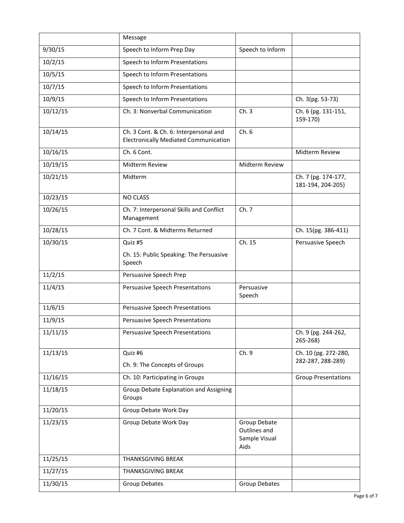|          | Message                                                                                |                                                       |                                           |
|----------|----------------------------------------------------------------------------------------|-------------------------------------------------------|-------------------------------------------|
| 9/30/15  | Speech to Inform Prep Day                                                              | Speech to Inform                                      |                                           |
| 10/2/15  | Speech to Inform Presentations                                                         |                                                       |                                           |
| 10/5/15  | Speech to Inform Presentations                                                         |                                                       |                                           |
| 10/7/15  | Speech to Inform Presentations                                                         |                                                       |                                           |
| 10/9/15  | Speech to Inform Presentations                                                         |                                                       | Ch. 3(pg. 53-73)                          |
| 10/12/15 | Ch. 3: Nonverbal Communication                                                         | Ch.3                                                  | Ch. 6 (pg. 131-151,<br>159-170)           |
| 10/14/15 | Ch. 3 Cont. & Ch. 6: Interpersonal and<br><b>Electronically Mediated Communication</b> | Ch.6                                                  |                                           |
| 10/16/15 | Ch. 6 Cont.                                                                            |                                                       | Midterm Review                            |
| 10/19/15 | Midterm Review                                                                         | Midterm Review                                        |                                           |
| 10/21/15 | Midterm                                                                                |                                                       | Ch. 7 (pg. 174-177,<br>181-194, 204-205)  |
| 10/23/15 | <b>NO CLASS</b>                                                                        |                                                       |                                           |
| 10/26/15 | Ch. 7: Interpersonal Skills and Conflict<br>Management                                 | Ch. 7                                                 |                                           |
| 10/28/15 | Ch. 7 Cont. & Midterms Returned                                                        |                                                       | Ch. 15(pg. 386-411)                       |
| 10/30/15 | Quiz #5                                                                                | Ch. 15                                                | Persuasive Speech                         |
|          | Ch. 15: Public Speaking: The Persuasive<br>Speech                                      |                                                       |                                           |
| 11/2/15  | Persuasive Speech Prep                                                                 |                                                       |                                           |
| 11/4/15  | Persuasive Speech Presentations                                                        | Persuasive<br>Speech                                  |                                           |
| 11/6/15  | Persuasive Speech Presentations                                                        |                                                       |                                           |
| 11/9/15  | Persuasive Speech Presentations                                                        |                                                       |                                           |
| 11/11/15 | Persuasive Speech Presentations                                                        |                                                       | Ch. 9 (pg. 244-262,<br>265-268)           |
| 11/13/15 | Quiz #6<br>Ch. 9: The Concepts of Groups                                               | Ch. 9                                                 | Ch. 10 (pg. 272-280,<br>282-287, 288-289) |
| 11/16/15 | Ch. 10: Participating in Groups                                                        |                                                       | <b>Group Presentations</b>                |
| 11/18/15 | Group Debate Explanation and Assigning                                                 |                                                       |                                           |
|          | Groups                                                                                 |                                                       |                                           |
| 11/20/15 | Group Debate Work Day                                                                  |                                                       |                                           |
| 11/23/15 | Group Debate Work Day                                                                  | Group Debate<br>Outlines and<br>Sample Visual<br>Aids |                                           |
| 11/25/15 | THANKSGIVING BREAK                                                                     |                                                       |                                           |
| 11/27/15 | THANKSGIVING BREAK                                                                     |                                                       |                                           |
| 11/30/15 | Group Debates                                                                          | Group Debates                                         |                                           |